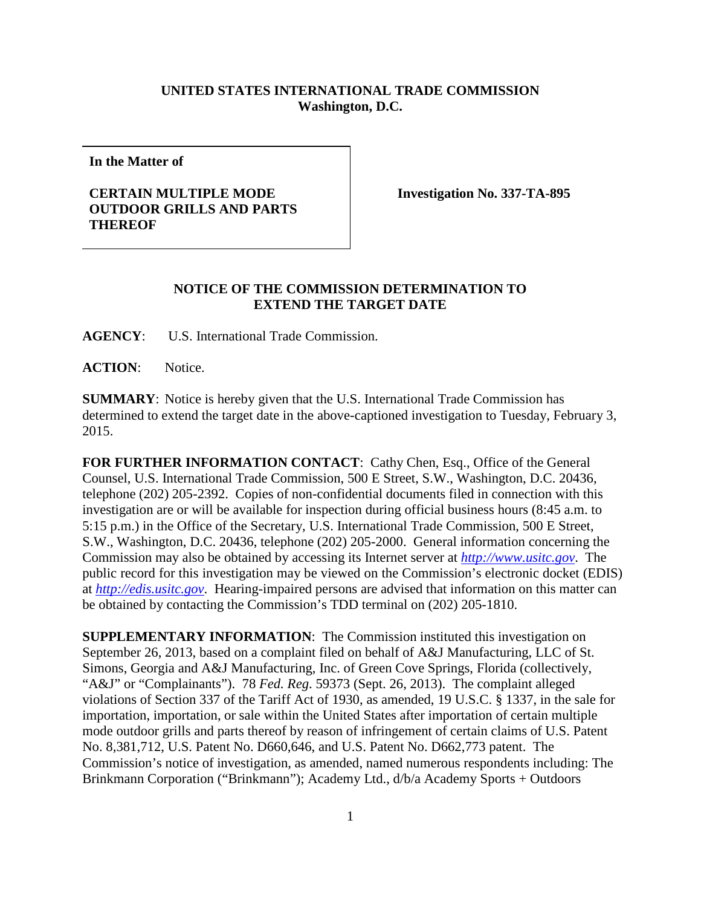## **UNITED STATES INTERNATIONAL TRADE COMMISSION Washington, D.C.**

**In the Matter of**

## **CERTAIN MULTIPLE MODE OUTDOOR GRILLS AND PARTS THEREOF**

**Investigation No. 337-TA-895**

## **NOTICE OF THE COMMISSION DETERMINATION TO EXTEND THE TARGET DATE**

**AGENCY**: U.S. International Trade Commission.

**ACTION**: Notice.

**SUMMARY**: Notice is hereby given that the U.S. International Trade Commission has determined to extend the target date in the above-captioned investigation to Tuesday, February 3, 2015.

FOR FURTHER INFORMATION CONTACT: Cathy Chen, Esq., Office of the General Counsel, U.S. International Trade Commission, 500 E Street, S.W., Washington, D.C. 20436, telephone (202) 205-2392. Copies of non-confidential documents filed in connection with this investigation are or will be available for inspection during official business hours (8:45 a.m. to 5:15 p.m.) in the Office of the Secretary, U.S. International Trade Commission, 500 E Street, S.W., Washington, D.C. 20436, telephone (202) 205-2000. General information concerning the Commission may also be obtained by accessing its Internet server at *[http://www.usitc.gov](http://www.usitc.gov/)*. The public record for this investigation may be viewed on the Commission's electronic docket (EDIS) at *[http://edis.usitc.gov](http://edis.usitc.gov/)*. Hearing-impaired persons are advised that information on this matter can be obtained by contacting the Commission's TDD terminal on (202) 205-1810.

**SUPPLEMENTARY INFORMATION**: The Commission instituted this investigation on September 26, 2013, based on a complaint filed on behalf of A&J Manufacturing, LLC of St. Simons, Georgia and A&J Manufacturing, Inc. of Green Cove Springs, Florida (collectively, "A&J" or "Complainants"). 78 *Fed. Reg*. 59373 (Sept. 26, 2013). The complaint alleged violations of Section 337 of the Tariff Act of 1930, as amended, 19 U.S.C. § 1337, in the sale for importation, importation, or sale within the United States after importation of certain multiple mode outdoor grills and parts thereof by reason of infringement of certain claims of U.S. Patent No. 8,381,712, U.S. Patent No. D660,646, and U.S. Patent No. D662,773 patent. The Commission's notice of investigation, as amended, named numerous respondents including: The Brinkmann Corporation ("Brinkmann"); Academy Ltd., d/b/a Academy Sports + Outdoors